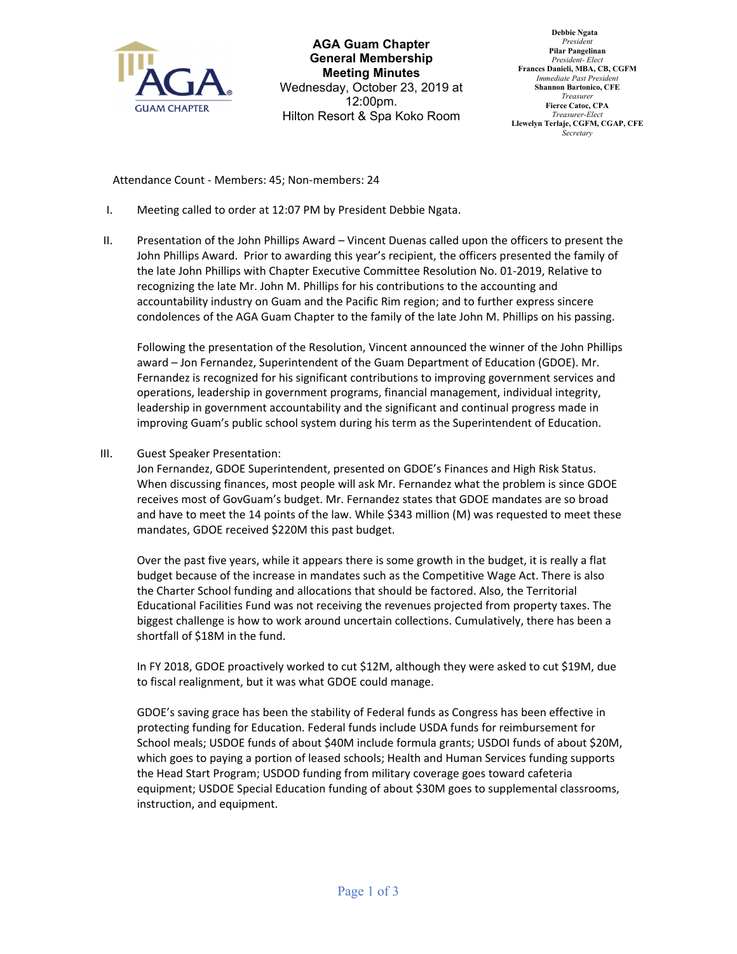

**AGA Guam Chapter General Membership Meeting Minutes** Wednesday, October 23, 2019 at 12:00pm. Hilton Resort & Spa Koko Room

 **Debbie Ngata** *President* **Pilar Pangelinan** *President- Elect* **Frances Danieli, MBA, CB, CGFM** *Immediate Past President* **Shannon Bartonico, CFE** *Treasurer* **Fierce Catoc, CPA** *Treasurer-Elect* **Llewelyn Terlaje, CGFM, CGAP, CFE** *Secretary*

Attendance Count ‐ Members: 45; Non‐members: 24

- I. Meeting called to order at 12:07 PM by President Debbie Ngata.
- II. Presentation of the John Phillips Award Vincent Duenas called upon the officers to present the John Phillips Award. Prior to awarding this year's recipient, the officers presented the family of the late John Phillips with Chapter Executive Committee Resolution No. 01‐2019, Relative to recognizing the late Mr. John M. Phillips for his contributions to the accounting and accountability industry on Guam and the Pacific Rim region; and to further express sincere condolences of the AGA Guam Chapter to the family of the late John M. Phillips on his passing.

Following the presentation of the Resolution, Vincent announced the winner of the John Phillips award – Jon Fernandez, Superintendent of the Guam Department of Education (GDOE). Mr. Fernandez is recognized for his significant contributions to improving government services and operations, leadership in government programs, financial management, individual integrity, leadership in government accountability and the significant and continual progress made in improving Guam's public school system during his term as the Superintendent of Education.

III. Guest Speaker Presentation:

Jon Fernandez, GDOE Superintendent, presented on GDOE's Finances and High Risk Status. When discussing finances, most people will ask Mr. Fernandez what the problem is since GDOE receives most of GovGuam's budget. Mr. Fernandez states that GDOE mandates are so broad and have to meet the 14 points of the law. While \$343 million (M) was requested to meet these mandates, GDOE received \$220M this past budget.

Over the past five years, while it appears there is some growth in the budget, it is really a flat budget because of the increase in mandates such as the Competitive Wage Act. There is also the Charter School funding and allocations that should be factored. Also, the Territorial Educational Facilities Fund was not receiving the revenues projected from property taxes. The biggest challenge is how to work around uncertain collections. Cumulatively, there has been a shortfall of \$18M in the fund.

In FY 2018, GDOE proactively worked to cut \$12M, although they were asked to cut \$19M, due to fiscal realignment, but it was what GDOE could manage.

GDOE's saving grace has been the stability of Federal funds as Congress has been effective in protecting funding for Education. Federal funds include USDA funds for reimbursement for School meals; USDOE funds of about \$40M include formula grants; USDOI funds of about \$20M, which goes to paying a portion of leased schools; Health and Human Services funding supports the Head Start Program; USDOD funding from military coverage goes toward cafeteria equipment; USDOE Special Education funding of about \$30M goes to supplemental classrooms, instruction, and equipment.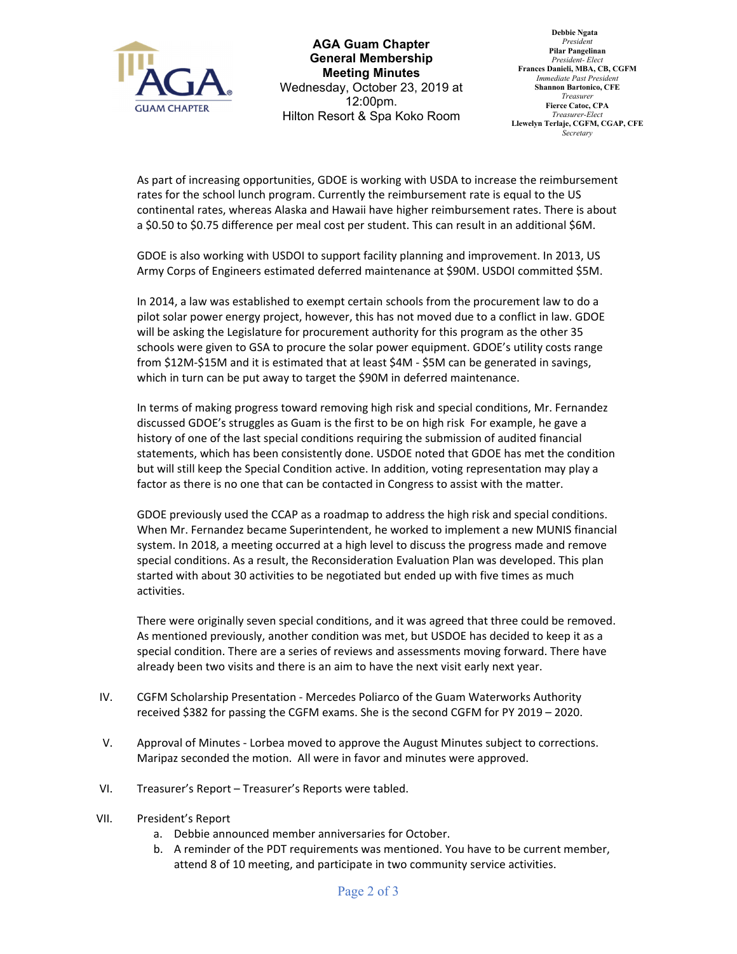

**AGA Guam Chapter General Membership Meeting Minutes** Wednesday, October 23, 2019 at 12:00pm. Hilton Resort & Spa Koko Room

 **Debbie Ngata** *President* **Pilar Pangelinan** *President- Elect* **Frances Danieli, MBA, CB, CGFM** *Immediate Past President* **Shannon Bartonico, CFE** *Treasurer* **Fierce Catoc, CPA** *Treasurer-Elect* **Llewelyn Terlaje, CGFM, CGAP, CFE** *Secretary*

As part of increasing opportunities, GDOE is working with USDA to increase the reimbursement rates for the school lunch program. Currently the reimbursement rate is equal to the US continental rates, whereas Alaska and Hawaii have higher reimbursement rates. There is about a \$0.50 to \$0.75 difference per meal cost per student. This can result in an additional \$6M.

GDOE is also working with USDOI to support facility planning and improvement. In 2013, US Army Corps of Engineers estimated deferred maintenance at \$90M. USDOI committed \$5M.

In 2014, a law was established to exempt certain schools from the procurement law to do a pilot solar power energy project, however, this has not moved due to a conflict in law. GDOE will be asking the Legislature for procurement authority for this program as the other 35 schools were given to GSA to procure the solar power equipment. GDOE's utility costs range from \$12M-\$15M and it is estimated that at least \$4M - \$5M can be generated in savings, which in turn can be put away to target the \$90M in deferred maintenance.

In terms of making progress toward removing high risk and special conditions, Mr. Fernandez discussed GDOE's struggles as Guam is the first to be on high risk For example, he gave a history of one of the last special conditions requiring the submission of audited financial statements, which has been consistently done. USDOE noted that GDOE has met the condition but will still keep the Special Condition active. In addition, voting representation may play a factor as there is no one that can be contacted in Congress to assist with the matter.

GDOE previously used the CCAP as a roadmap to address the high risk and special conditions. When Mr. Fernandez became Superintendent, he worked to implement a new MUNIS financial system. In 2018, a meeting occurred at a high level to discuss the progress made and remove special conditions. As a result, the Reconsideration Evaluation Plan was developed. This plan started with about 30 activities to be negotiated but ended up with five times as much activities.

There were originally seven special conditions, and it was agreed that three could be removed. As mentioned previously, another condition was met, but USDOE has decided to keep it as a special condition. There are a series of reviews and assessments moving forward. There have already been two visits and there is an aim to have the next visit early next year.

- IV. CGFM Scholarship Presentation ‐ Mercedes Poliarco of the Guam Waterworks Authority received \$382 for passing the CGFM exams. She is the second CGFM for PY 2019 – 2020.
- V. Approval of Minutes ‐ Lorbea moved to approve the August Minutes subject to corrections. Maripaz seconded the motion. All were in favor and minutes were approved.
- VI. Treasurer's Report Treasurer's Reports were tabled.
- VII. President's Report
	- a. Debbie announced member anniversaries for October.
	- b. A reminder of the PDT requirements was mentioned. You have to be current member, attend 8 of 10 meeting, and participate in two community service activities.